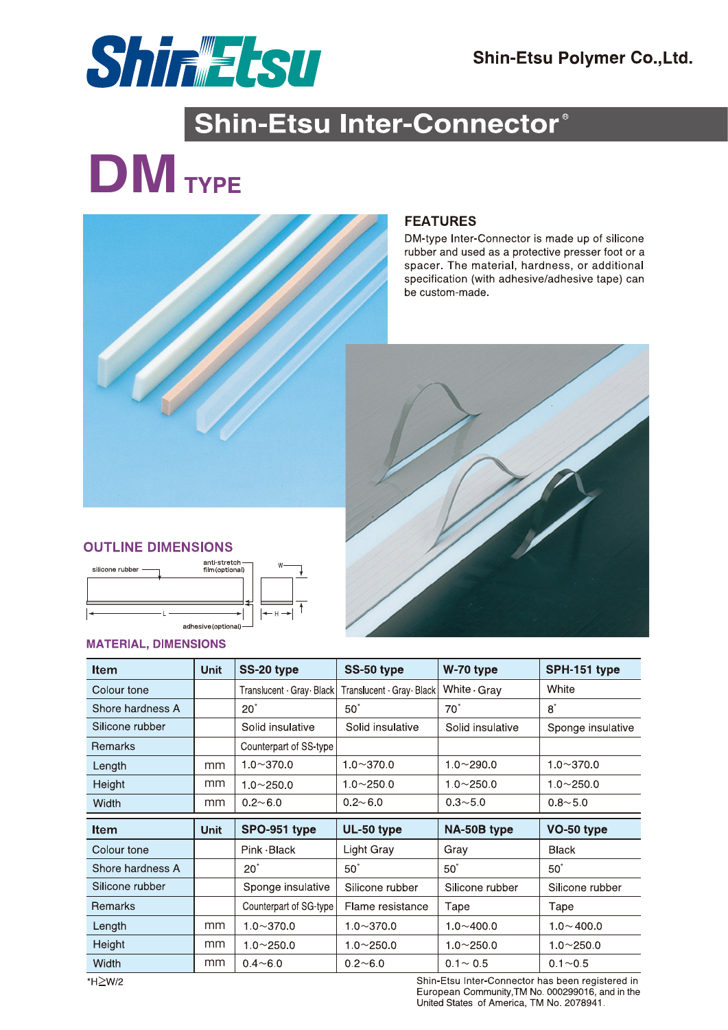

# Shin-Etsu Inter-Connector®

# **DM**<br>TYPE



## **FEATURES**

DM-type Inter-Connector is made up of silicone rubber and used as a protective presser foot or a spacer. The material, hardness, or additional specification (with adhesive/adhesive tape) can be custom-made.



### **OUTLINE DIMENSIONS**



#### **MATERIAL, DIMENSIONS**

| <b>Item</b>      | <b>Unit</b> | SS-20 type                 | SS-50 type                 | W-70 type          | SPH-151 type      |
|------------------|-------------|----------------------------|----------------------------|--------------------|-------------------|
| Colour tone      |             | Translucent · Gray · Black | Translucent · Gray · Black | White $\cdot$ Gray | White             |
| Shore hardness A |             | $20^\circ$                 | $50^\circ$                 | $70^\circ$         | $8^{\circ}$       |
| Silicone rubber  |             | Solid insulative           | Solid insulative           | Solid insulative   | Sponge insulative |
| <b>Remarks</b>   |             | Counterpart of SS-type     |                            |                    |                   |
| Length           | mm          | $10 - 3700$                | $1.0 \sim 370.0$           | $1.0 - 290.0$      | $1.0 - 370.0$     |
| Height           | mm          | $1.0 - 250.0$              | $1.0 - 250.0$              | $1.0 - 250.0$      | $1.0 - 250.0$     |
| <b>Width</b>     | mm          | $0.2 - 6.0$                | $0.2 - 6.0$                | $0.3 - 5.0$        | $0.8 - 5.0$       |
|                  |             |                            |                            |                    |                   |
| <b>Item</b>      | <b>Unit</b> | SPO-951 type               | UL-50 type                 | NA-50B type        | VO-50 type        |
| Colour tone      |             | $Pink$ $-Black$            | <b>Light Gray</b>          | Gray               | <b>Black</b>      |
| Shore hardness A |             | $20^\circ$                 | $50^\circ$                 | $50^\circ$         | $50^\circ$        |
| Silicone rubber  |             | Sponge insulative          | Silicone rubber            | Silicone rubber    | Silicone rubber   |
| <b>Remarks</b>   |             | Counterpart of SG-type     | Flame resistance           | Tape               | Tape              |
| Length           | mm          | $1.0 - 370.0$              | $1.0 - 370.0$              | $1.0 - 400.0$      | $1.0 - 400.0$     |
| Height           | mm          | $1.0 - 250.0$              | $1.0 - 250.0$              | $1.0 - 250.0$      | $1.0 - 250.0$     |

\*H≥W/2

Shin-Etsu Inter-Connector has been registered in European Community, TM No. 000299016, and in the United States of America, TM No. 2078941.